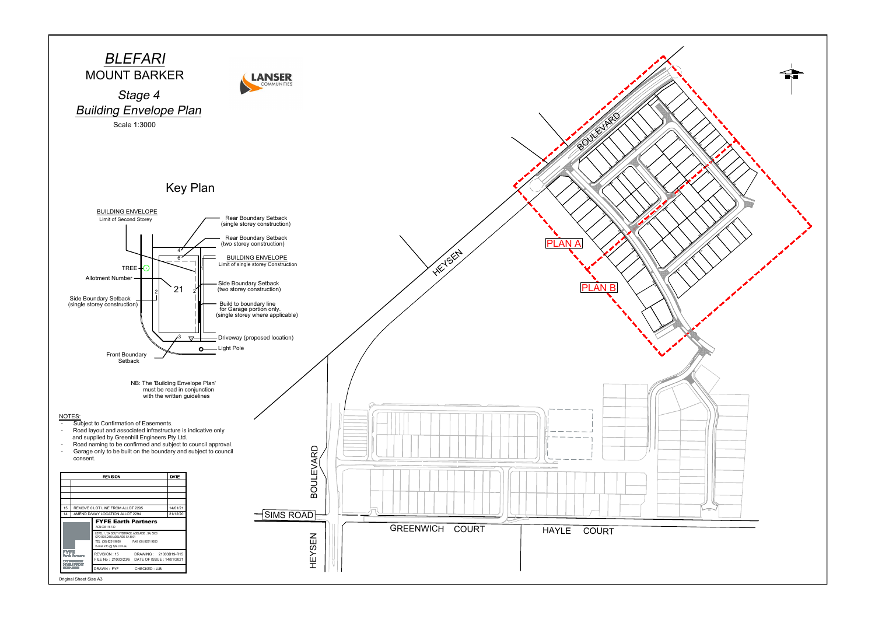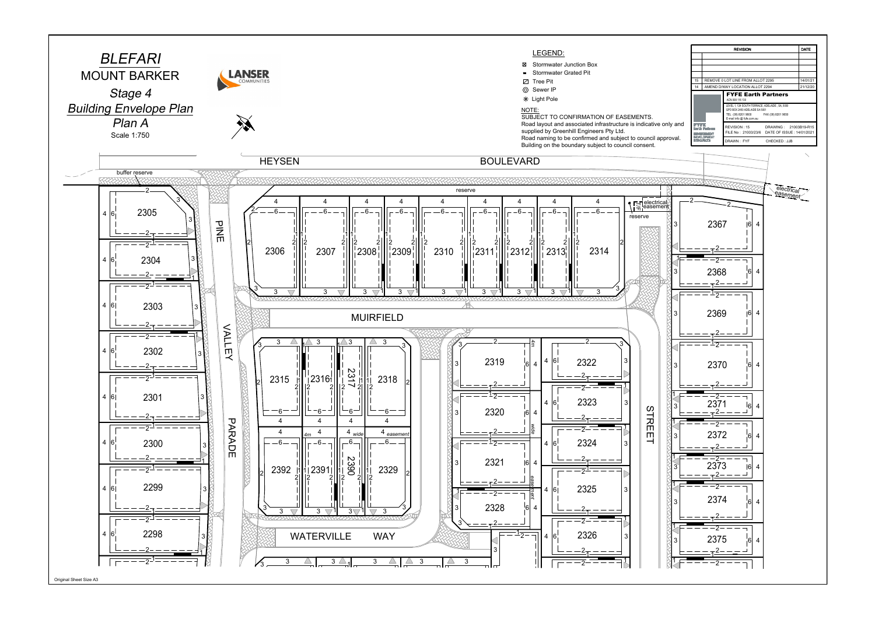